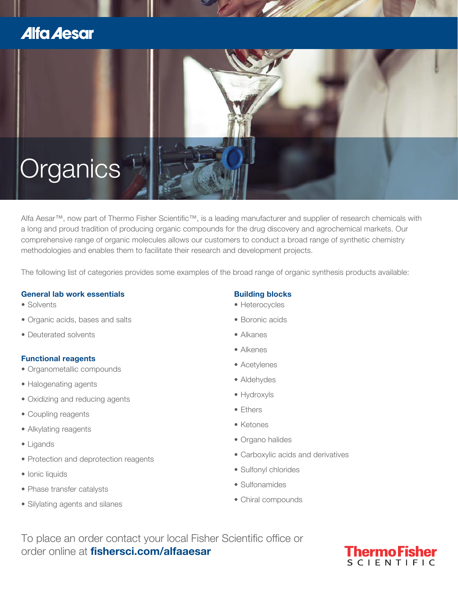## **Alfa Aesar**



Alfa Aesar™, now part of Thermo Fisher Scientific™, is a leading manufacturer and supplier of research chemicals with a long and proud tradition of producing organic compounds for the drug discovery and agrochemical markets. Our comprehensive range of organic molecules allows our customers to conduct a broad range of synthetic chemistry methodologies and enables them to facilitate their research and development projects.

The following list of categories provides some examples of the broad range of organic synthesis products available:

### **General lab work essentials**

- Solvents
- Organic acids, bases and salts
- Deuterated solvents

### **Functional reagents**

- Organometallic compounds
- Halogenating agents
- Oxidizing and reducing agents
- Coupling reagents
- Alkylating reagents
- Ligands
- Protection and deprotection reagents
- Ionic liquids
- Phase transfer catalysts
- Silylating agents and silanes

## **Building blocks**

- Heterocycles
- Boronic acids
- Alkanes
- Alkenes
- Acetylenes
- Aldehydes
- Hydroxyls
- Ethers
- Ketones
- Organo halides
- Carboxylic acids and derivatives
- Sulfonyl chlorides
- Sulfonamides
- Chiral compounds

To place an order contact your local Fisher Scientific office or order online at **fishersci.com/alfaaesar**